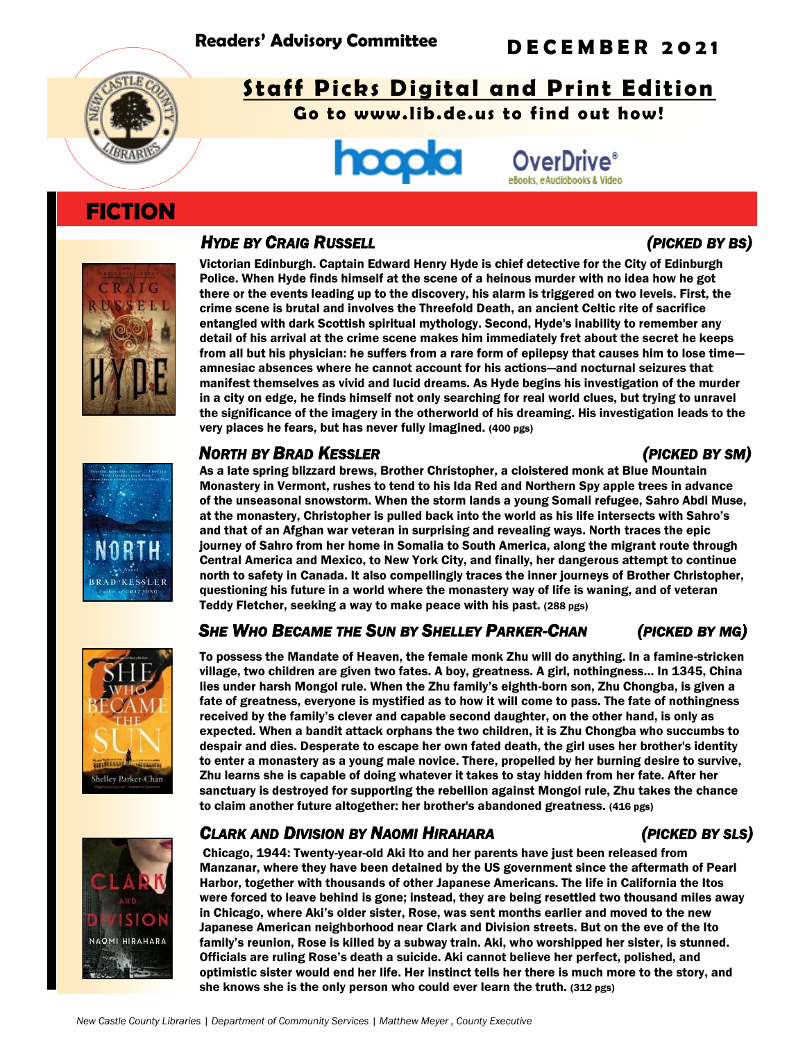

# **Staff Picks Digital and Print Edition**

**Go to www.lib.de.us to find out how!**



# **FICTION**

## *HYDE BY CRAIG RUSSELL (PICKED BY BS)*



Victorian Edinburgh. Captain Edward Henry Hyde is chief detective for the City of Edinburgh Police. When Hyde finds himself at the scene of a heinous murder with no idea how he got there or the events leading up to the discovery, his alarm is triggered on two levels. First, the crime scene is brutal and involves the Threefold Death, an ancient Celtic rite of sacrifice entangled with dark Scottish spiritual mythology. Second, Hyde's inability to remember any detail of his arrival at the crime scene makes him immediately fret about the secret he keeps from all but his physician: he suffers from a rare form of epilepsy that causes him to lose time amnesiac absences where he cannot account for his actions—and nocturnal seizures that manifest themselves as vivid and lucid dreams. As Hyde begins his investigation of the murder in a city on edge, he finds himself not only searching for real world clues, but trying to unravel the significance of the imagery in the otherworld of his dreaming. His investigation leads to the very places he fears, but has never fully imagined. (400 pgs)

## *NORTH BY BRAD KESSLER (PICKED BY SM)*

As a late spring blizzard brews, Brother Christopher, a cloistered monk at Blue Mountain Monastery in Vermont, rushes to tend to his Ida Red and Northern Spy apple trees in advance of the unseasonal snowstorm. When the storm lands a young Somali refugee, Sahro Abdi Muse, at the monastery, Christopher is pulled back into the world as his life intersects with Sahro's and that of an Afghan war veteran in surprising and revealing ways. North traces the epic journey of Sahro from her home in Somalia to South America, along the migrant route through Central America and Mexico, to New York City, and finally, her dangerous attempt to continue north to safety in Canada. It also compellingly traces the inner journeys of Brother Christopher, questioning his future in a world where the monastery way of life is waning, and of veteran Teddy Fletcher, seeking a way to make peace with his past. (288 pgs)

# SHE WHO BECAME THE SUN BY SHELLEY PARKER-CHAN (PICKED BY MG)



**KESSLER** 

To possess the Mandate of Heaven, the female monk Zhu will do anything. In a famine-stricken village, two children are given two fates. A boy, greatness. A girl, nothingness… In 1345, China lies under harsh Mongol rule. When the Zhu family's eighth-born son, Zhu Chongba, is given a fate of greatness, everyone is mystified as to how it will come to pass. The fate of nothingness received by the family's clever and capable second daughter, on the other hand, is only as expected. When a bandit attack orphans the two children, it is Zhu Chongba who succumbs to despair and dies. Desperate to escape her own fated death, the girl uses her brother's identity to enter a monastery as a young male novice. There, propelled by her burning desire to survive, Zhu learns she is capable of doing whatever it takes to stay hidden from her fate. After her sanctuary is destroyed for supporting the rebellion against Mongol rule, Zhu takes the chance to claim another future altogether: her brother's abandoned greatness. (416 pgs)

# *CLARK AND DIVISION BY NAOMI HIRAHARA (PICKED BY SLS)*

Chicago, 1944: Twenty-year-old Aki Ito and her parents have just been released from Manzanar, where they have been detained by the US government since the aftermath of Pearl Harbor, together with thousands of other Japanese Americans. The life in California the Itos were forced to leave behind is gone; instead, they are being resettled two thousand miles away in Chicago, where Aki's older sister, Rose, was sent months earlier and moved to the new Japanese American neighborhood near Clark and Division streets. But on the eve of the Ito family's reunion, Rose is killed by a subway train. Aki, who worshipped her sister, is stunned. Officials are ruling Rose's death a suicide. Aki cannot believe her perfect, polished, and optimistic sister would end her life. Her instinct tells her there is much more to the story, and she knows she is the only person who could ever learn the truth. (312 pgs)

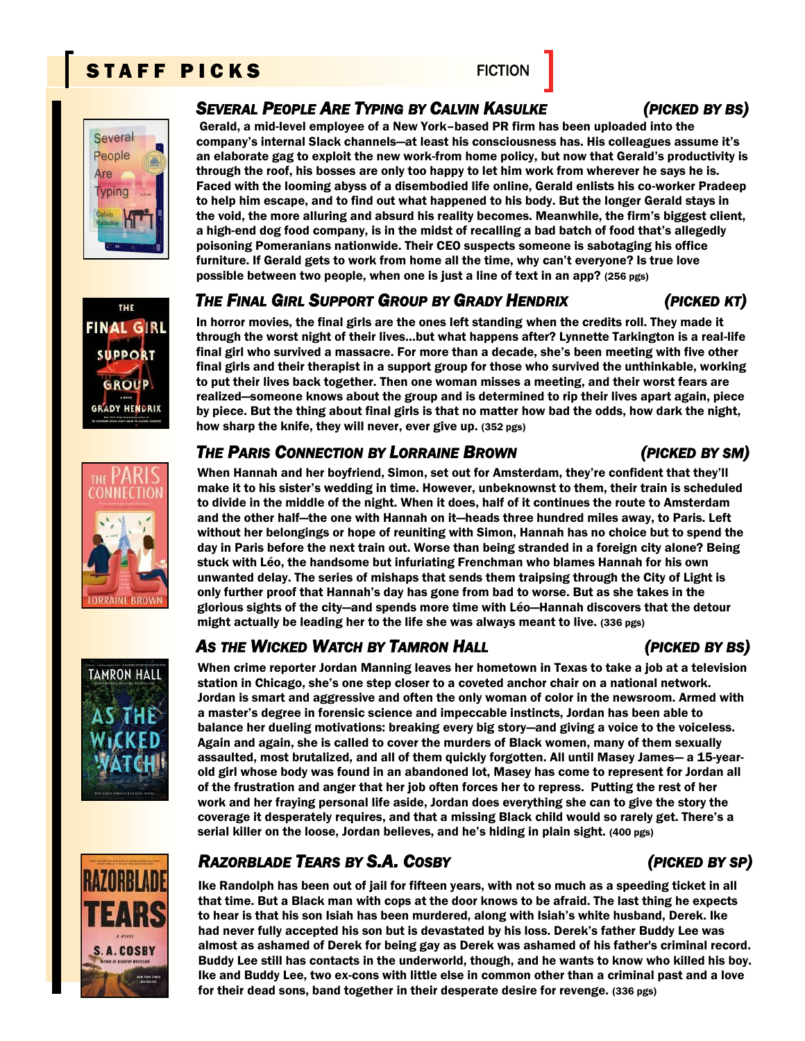# STAFF PICKS FICTION













## *SEVERAL PEOPLE ARE TYPING BY CALVIN KASULKE (PICKED BY BS)*

Gerald, a mid-level employee of a New York–based PR firm has been uploaded into the company's internal Slack channels—at least his consciousness has. His colleagues assume it's an elaborate gag to exploit the new work-from home policy, but now that Gerald's productivity is through the roof, his bosses are only too happy to let him work from wherever he says he is. Faced with the looming abyss of a disembodied life online, Gerald enlists his co-worker Pradeep to help him escape, and to find out what happened to his body. But the longer Gerald stays in the void, the more alluring and absurd his reality becomes. Meanwhile, the firm's biggest client, a high-end dog food company, is in the midst of recalling a bad batch of food that's allegedly poisoning Pomeranians nationwide. Their CEO suspects someone is sabotaging his office furniture. If Gerald gets to work from home all the time, why can't everyone? Is true love possible between two people, when one is just a line of text in an app? (256 pgs)

## *THE FINAL GIRL SUPPORT GROUP BY GRADY HENDRIX (PICKED KT)*

In horror movies, the final girls are the ones left standing when the credits roll. They made it through the worst night of their lives…but what happens after? Lynnette Tarkington is a real-life final girl who survived a massacre. For more than a decade, she's been meeting with five other final girls and their therapist in a support group for those who survived the unthinkable, working to put their lives back together. Then one woman misses a meeting, and their worst fears are realized—someone knows about the group and is determined to rip their lives apart again, piece by piece. But the thing about final girls is that no matter how bad the odds, how dark the night, how sharp the knife, they will never, ever give up. (352 pgs)

## *THE PARIS CONNECTION BY LORRAINE BROWN (PICKED BY SM)*

When Hannah and her boyfriend, Simon, set out for Amsterdam, they're confident that they'll make it to his sister's wedding in time. However, unbeknownst to them, their train is scheduled to divide in the middle of the night. When it does, half of it continues the route to Amsterdam and the other half—the one with Hannah on it—heads three hundred miles away, to Paris. Left without her belongings or hope of reuniting with Simon, Hannah has no choice but to spend the day in Paris before the next train out. Worse than being stranded in a foreign city alone? Being stuck with Léo, the handsome but infuriating Frenchman who blames Hannah for his own unwanted delay. The series of mishaps that sends them traipsing through the City of Light is only further proof that Hannah's day has gone from bad to worse. But as she takes in the glorious sights of the city—and spends more time with Léo—Hannah discovers that the detour might actually be leading her to the life she was always meant to live. (336 pgs)

# *AS THE WICKED WATCH BY TAMRON HALL (PICKED BY BS)*

When crime reporter Jordan Manning leaves her hometown in Texas to take a job at a television station in Chicago, she's one step closer to a coveted anchor chair on a national network. Jordan is smart and aggressive and often the only woman of color in the newsroom. Armed with a master's degree in forensic science and impeccable instincts, Jordan has been able to balance her dueling motivations: breaking every big story—and giving a voice to the voiceless. Again and again, she is called to cover the murders of Black women, many of them sexually assaulted, most brutalized, and all of them quickly forgotten. All until Masey James— a 15-yearold girl whose body was found in an abandoned lot, Masey has come to represent for Jordan all of the frustration and anger that her job often forces her to repress. Putting the rest of her work and her fraying personal life aside, Jordan does everything she can to give the story the coverage it desperately requires, and that a missing Black child would so rarely get. There's a serial killer on the loose, Jordan believes, and he's hiding in plain sight. (400 pgs)

# *RAZORBLADE TEARS BY S.A. COSBY (PICKED BY SP)*

Ike Randolph has been out of jail for fifteen years, with not so much as a speeding ticket in all that time. But a Black man with cops at the door knows to be afraid. The last thing he expects to hear is that his son Isiah has been murdered, along with Isiah's white husband, Derek. Ike had never fully accepted his son but is devastated by his loss. Derek's father Buddy Lee was almost as ashamed of Derek for being gay as Derek was ashamed of his father's criminal record. Buddy Lee still has contacts in the underworld, though, and he wants to know who killed his boy. Ike and Buddy Lee, two ex-cons with little else in common other than a criminal past and a love for their dead sons, band together in their desperate desire for revenge. (336 pgs)

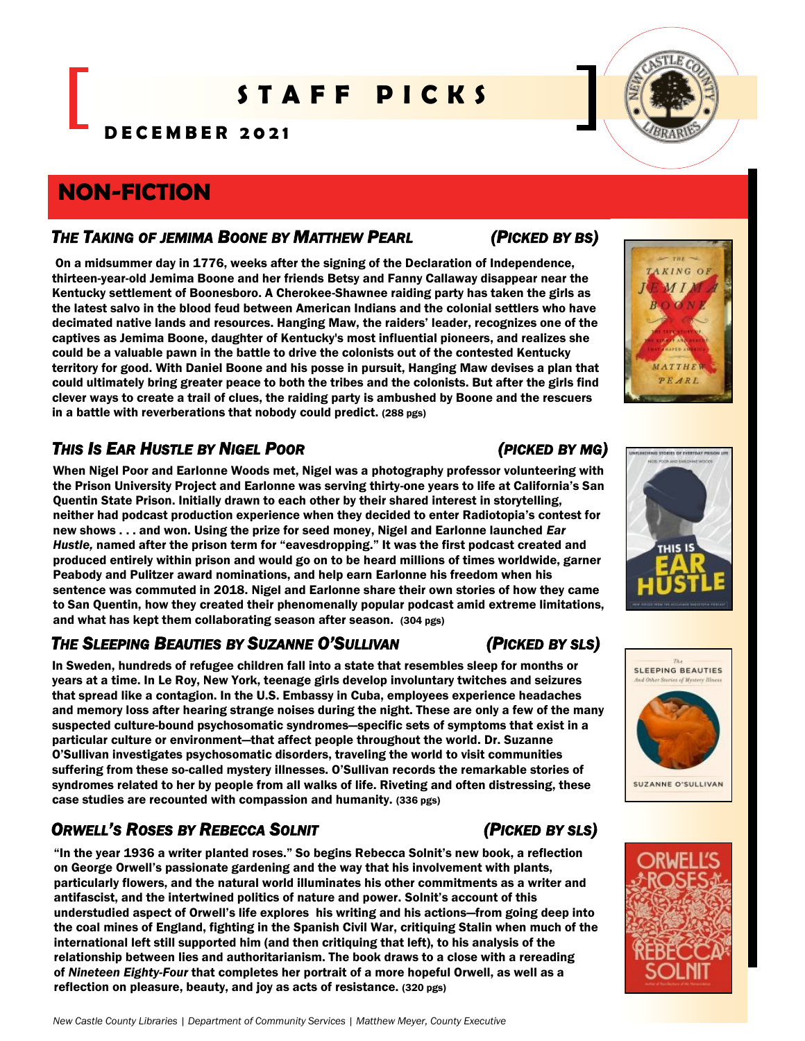# S T A F F P I C K S

**D E C E M B E R 2 0 2 1**

# **NON-FICTION**

### *THE TAKING OF JEMIMA BOONE BY MATTHEW PEARL (PICKED BY BS)*

On a midsummer day in 1776, weeks after the signing of the Declaration of Independence, thirteen-year-old Jemima Boone and her friends Betsy and Fanny Callaway disappear near the Kentucky settlement of Boonesboro. A Cherokee-Shawnee raiding party has taken the girls as the latest salvo in the blood feud between American Indians and the colonial settlers who have decimated native lands and resources. Hanging Maw, the raiders' leader, recognizes one of the captives as Jemima Boone, daughter of Kentucky's most influential pioneers, and realizes she could be a valuable pawn in the battle to drive the colonists out of the contested Kentucky territory for good. With Daniel Boone and his posse in pursuit, Hanging Maw devises a plan that could ultimately bring greater peace to both the tribes and the colonists. But after the girls find clever ways to create a trail of clues, the raiding party is ambushed by Boone and the rescuers in a battle with reverberations that nobody could predict. (288 pgs)

# *THIS IS EAR HUSTLE BY NIGEL POOR (PICKED BY MG)*

When Nigel Poor and Earlonne Woods met, Nigel was a photography professor volunteering with the Prison University Project and Earlonne was serving thirty-one years to life at California's San Quentin State Prison. Initially drawn to each other by their shared interest in storytelling, neither had podcast production experience when they decided to enter Radiotopia's contest for new shows . . . and won. Using the prize for seed money, Nigel and Earlonne launched *Ear Hustle,* named after the prison term for "eavesdropping." It was the first podcast created and produced entirely within prison and would go on to be heard millions of times worldwide, garner Peabody and Pulitzer award nominations, and help earn Earlonne his freedom when his sentence was commuted in 2018. Nigel and Earlonne share their own stories of how they came to San Quentin, how they created their phenomenally popular podcast amid extreme limitations, and what has kept them collaborating season after season. (304 pgs)

## *THE SLEEPING BEAUTIES BY SUZANNE O'SULLIVAN (PICKED BY SLS)*

In Sweden, hundreds of refugee children fall into a state that resembles sleep for months or years at a time. In Le Roy, New York, teenage girls develop involuntary twitches and seizures that spread like a contagion. In the U.S. Embassy in Cuba, employees experience headaches and memory loss after hearing strange noises during the night. These are only a few of the many suspected culture-bound psychosomatic syndromes—specific sets of symptoms that exist in a particular culture or environment—that affect people throughout the world. Dr. Suzanne O'Sullivan investigates psychosomatic disorders, traveling the world to visit communities suffering from these so-called mystery illnesses. O'Sullivan records the remarkable stories of syndromes related to her by people from all walks of life. Riveting and often distressing, these case studies are recounted with compassion and humanity. (336 pgs)

# *ORWELL'S ROSES BY REBECCA SOLNIT (PICKED BY SLS)*

"In the year 1936 a writer planted roses." So begins Rebecca Solnit's new book, a reflection on George Orwell's passionate gardening and the way that his involvement with plants, particularly flowers, and the natural world illuminates his other commitments as a writer and antifascist, and the intertwined politics of nature and power. Solnit's account of this understudied aspect of Orwell's life explores his writing and his actions—from going deep into the coal mines of England, fighting in the Spanish Civil War, critiquing Stalin when much of the international left still supported him (and then critiquing that left), to his analysis of the relationship between lies and authoritarianism. The book draws to a close with a rereading of *Nineteen Eighty-Four* that completes her portrait of a more hopeful Orwell, as well as a reflection on pleasure, beauty, and joy as acts of resistance. (320 pgs)





03 STORIES OF EVERYDAY PRISON